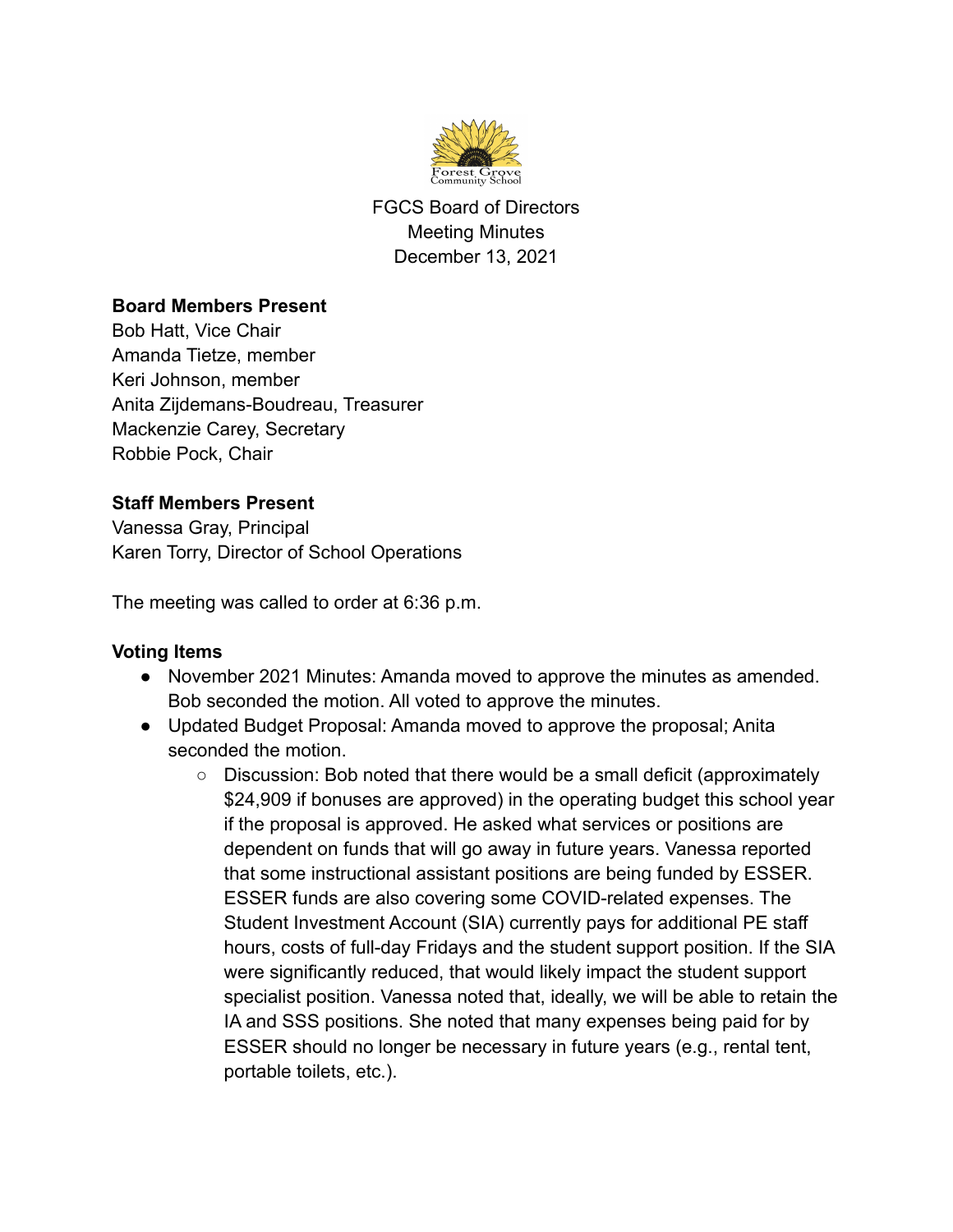

FGCS Board of Directors Meeting Minutes December 13, 2021

## **Board Members Present**

Bob Hatt, Vice Chair Amanda Tietze, member Keri Johnson, member Anita Zijdemans-Boudreau, Treasurer Mackenzie Carey, Secretary Robbie Pock, Chair

## **Staff Members Present**

Vanessa Gray, Principal Karen Torry, Director of School Operations

The meeting was called to order at 6:36 p.m.

## **Voting Items**

- November 2021 Minutes: Amanda moved to approve the minutes as amended. Bob seconded the motion. All voted to approve the minutes.
- Updated Budget Proposal: Amanda moved to approve the proposal; Anita seconded the motion.
	- $\circ$  Discussion: Bob noted that there would be a small deficit (approximately \$24,909 if bonuses are approved) in the operating budget this school year if the proposal is approved. He asked what services or positions are dependent on funds that will go away in future years. Vanessa reported that some instructional assistant positions are being funded by ESSER. ESSER funds are also covering some COVID-related expenses. The Student Investment Account (SIA) currently pays for additional PE staff hours, costs of full-day Fridays and the student support position. If the SIA were significantly reduced, that would likely impact the student support specialist position. Vanessa noted that, ideally, we will be able to retain the IA and SSS positions. She noted that many expenses being paid for by ESSER should no longer be necessary in future years (e.g., rental tent, portable toilets, etc.).